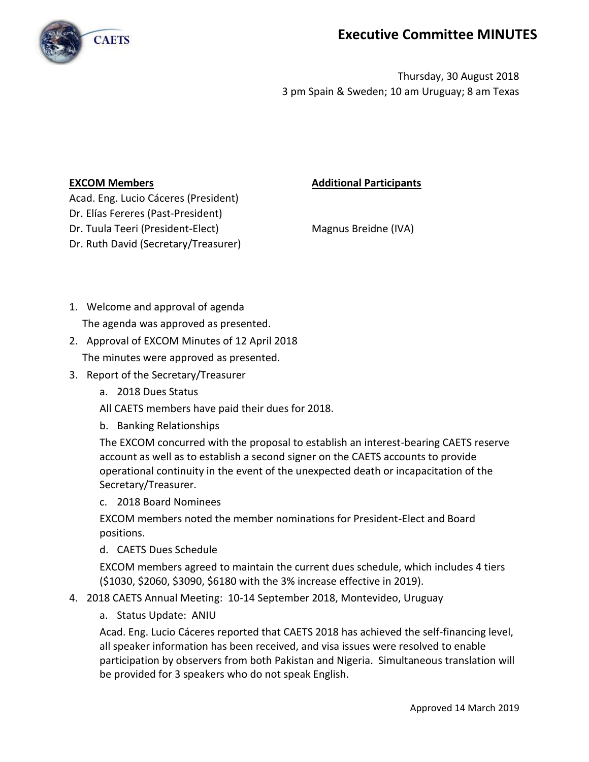

## **Executive Committee MINUTES**

Thursday, 30 August 2018 3 pm Spain & Sweden; 10 am Uruguay; 8 am Texas

## **EXCOM Members Additional Participants**

Acad. Eng. Lucio Cáceres (President) Dr. Elías Fereres (Past-President) Dr. Tuula Teeri (President-Elect) Magnus Breidne (IVA) Dr. Ruth David (Secretary/Treasurer)

1. Welcome and approval of agenda

The agenda was approved as presented.

2. Approval of EXCOM Minutes of 12 April 2018

The minutes were approved as presented.

- 3. Report of the Secretary/Treasurer
	- a. 2018 Dues Status
	- All CAETS members have paid their dues for 2018.
	- b. Banking Relationships

The EXCOM concurred with the proposal to establish an interest-bearing CAETS reserve account as well as to establish a second signer on the CAETS accounts to provide operational continuity in the event of the unexpected death or incapacitation of the Secretary/Treasurer.

c. 2018 Board Nominees

EXCOM members noted the member nominations for President-Elect and Board positions.

d. CAETS Dues Schedule

EXCOM members agreed to maintain the current dues schedule, which includes 4 tiers (\$1030, \$2060, \$3090, \$6180 with the 3% increase effective in 2019).

- 4. 2018 CAETS Annual Meeting: 10-14 September 2018, Montevideo, Uruguay
	- a. Status Update: ANIU

Acad. Eng. Lucio Cáceres reported that CAETS 2018 has achieved the self-financing level, all speaker information has been received, and visa issues were resolved to enable participation by observers from both Pakistan and Nigeria. Simultaneous translation will be provided for 3 speakers who do not speak English.